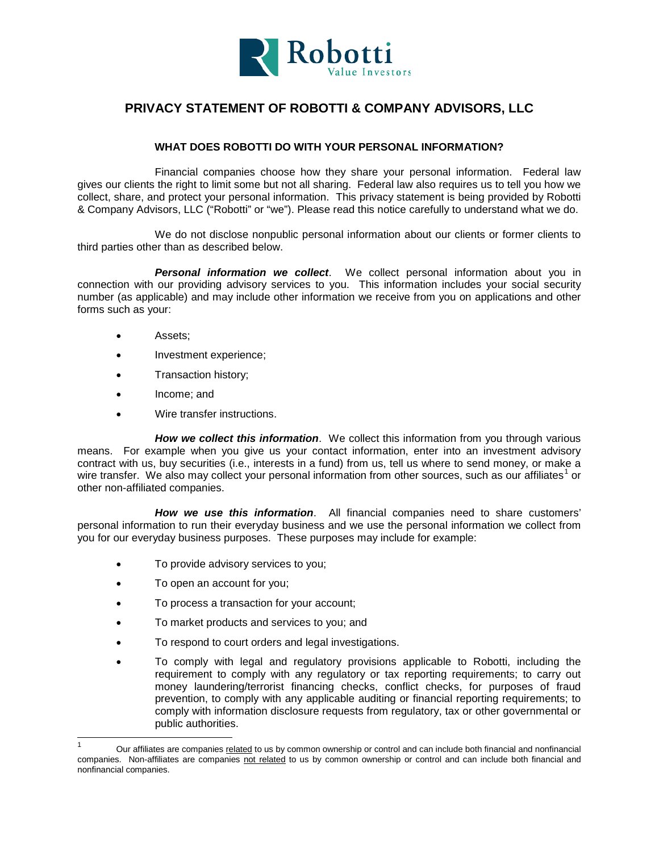

## **PRIVACY STATEMENT OF ROBOTTI & COMPANY ADVISORS, LLC**

## **WHAT DOES ROBOTTI DO WITH YOUR PERSONAL INFORMATION?**

Financial companies choose how they share your personal information. Federal law gives our clients the right to limit some but not all sharing. Federal law also requires us to tell you how we collect, share, and protect your personal information. This privacy statement is being provided by Robotti & Company Advisors, LLC ("Robotti" or "we"). Please read this notice carefully to understand what we do.

We do not disclose nonpublic personal information about our clients or former clients to third parties other than as described below.

*Personal information we collect*. We collect personal information about you in connection with our providing advisory services to you. This information includes your social security number (as applicable) and may include other information we receive from you on applications and other forms such as your:

- Assets;
- Investment experience;
- Transaction history;
- Income; and
- Wire transfer instructions.

*How we collect this information*. We collect this information from you through various means. For example when you give us your contact information, enter into an investment advisory contract with us, buy securities (i.e., interests in a fund) from us, tell us where to send money, or make a wire transfer. We also may collect your personal information from other sources, such as our affiliates<sup>[1](#page-0-0)</sup> or other non-affiliated companies.

*How we use this information*. All financial companies need to share customers' personal information to run their everyday business and we use the personal information we collect from you for our everyday business purposes. These purposes may include for example:

- To provide advisory services to you;
- To open an account for you;
- To process a transaction for your account;
- To market products and services to you; and
- To respond to court orders and legal investigations.
- To comply with legal and regulatory provisions applicable to Robotti, including the requirement to comply with any regulatory or tax reporting requirements; to carry out money laundering/terrorist financing checks, conflict checks, for purposes of fraud prevention, to comply with any applicable auditing or financial reporting requirements; to comply with information disclosure requests from regulatory, tax or other governmental or public authorities.

<span id="page-0-0"></span> <sup>1</sup> Our affiliates are companies related to us by common ownership or control and can include both financial and nonfinancial companies. Non-affiliates are companies not related to us by common ownership or control and can include both financial and nonfinancial companies.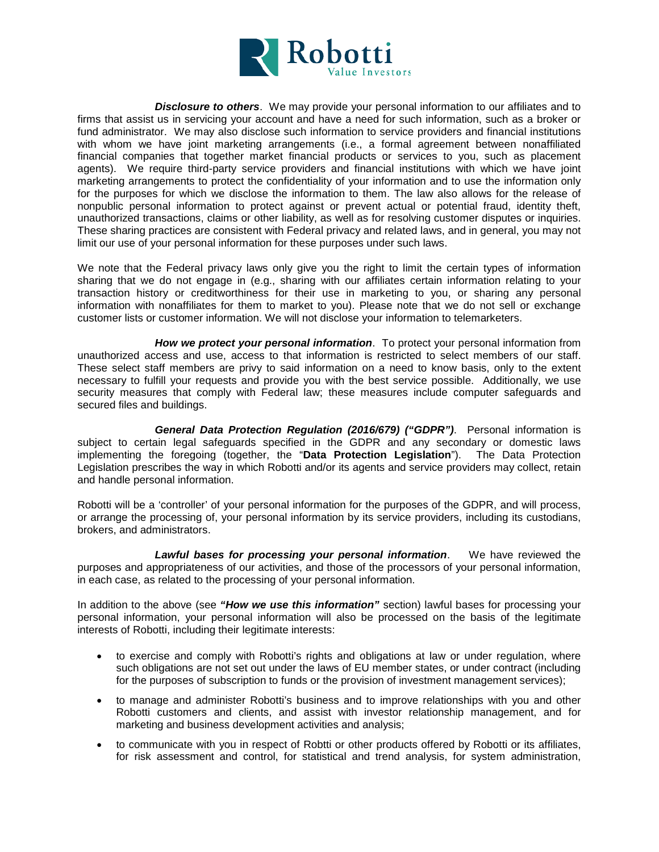

*Disclosure to others*. We may provide your personal information to our affiliates and to firms that assist us in servicing your account and have a need for such information, such as a broker or fund administrator. We may also disclose such information to service providers and financial institutions with whom we have joint marketing arrangements (i.e., a formal agreement between nonaffiliated financial companies that together market financial products or services to you, such as placement agents). We require third-party service providers and financial institutions with which we have joint marketing arrangements to protect the confidentiality of your information and to use the information only for the purposes for which we disclose the information to them. The law also allows for the release of nonpublic personal information to protect against or prevent actual or potential fraud, identity theft, unauthorized transactions, claims or other liability, as well as for resolving customer disputes or inquiries. These sharing practices are consistent with Federal privacy and related laws, and in general, you may not limit our use of your personal information for these purposes under such laws.

We note that the Federal privacy laws only give you the right to limit the certain types of information sharing that we do not engage in (e.g., sharing with our affiliates certain information relating to your transaction history or creditworthiness for their use in marketing to you, or sharing any personal information with nonaffiliates for them to market to you). Please note that we do not sell or exchange customer lists or customer information. We will not disclose your information to telemarketers.

*How we protect your personal information*. To protect your personal information from unauthorized access and use, access to that information is restricted to select members of our staff. These select staff members are privy to said information on a need to know basis, only to the extent necessary to fulfill your requests and provide you with the best service possible. Additionally, we use security measures that comply with Federal law; these measures include computer safeguards and secured files and buildings.

*General Data Protection Regulation (2016/679) ("GDPR")*. Personal information is subject to certain legal safeguards specified in the GDPR and any secondary or domestic laws implementing the foregoing (together, the "**Data Protection Legislation**"). The Data Protection Legislation prescribes the way in which Robotti and/or its agents and service providers may collect, retain and handle personal information.

Robotti will be a 'controller' of your personal information for the purposes of the GDPR, and will process, or arrange the processing of, your personal information by its service providers, including its custodians, brokers, and administrators.

*Lawful bases for processing your personal information*. We have reviewed the purposes and appropriateness of our activities, and those of the processors of your personal information, in each case, as related to the processing of your personal information.

In addition to the above (see *"How we use this information"* section) lawful bases for processing your personal information, your personal information will also be processed on the basis of the legitimate interests of Robotti, including their legitimate interests:

- to exercise and comply with Robotti's rights and obligations at law or under regulation, where such obligations are not set out under the laws of EU member states, or under contract (including for the purposes of subscription to funds or the provision of investment management services);
- to manage and administer Robotti's business and to improve relationships with you and other Robotti customers and clients, and assist with investor relationship management, and for marketing and business development activities and analysis;
- to communicate with you in respect of Robtti or other products offered by Robotti or its affiliates, for risk assessment and control, for statistical and trend analysis, for system administration,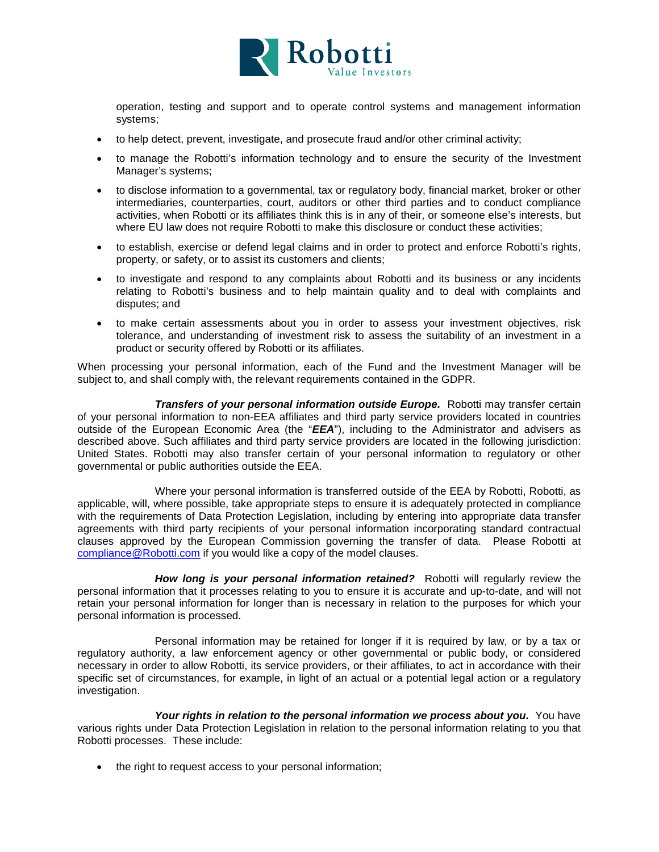

operation, testing and support and to operate control systems and management information systems;

- to help detect, prevent, investigate, and prosecute fraud and/or other criminal activity;
- to manage the Robotti's information technology and to ensure the security of the Investment Manager's systems;
- to disclose information to a governmental, tax or regulatory body, financial market, broker or other intermediaries, counterparties, court, auditors or other third parties and to conduct compliance activities, when Robotti or its affiliates think this is in any of their, or someone else's interests, but where EU law does not require Robotti to make this disclosure or conduct these activities;
- to establish, exercise or defend legal claims and in order to protect and enforce Robotti's rights, property, or safety, or to assist its customers and clients;
- to investigate and respond to any complaints about Robotti and its business or any incidents relating to Robotti's business and to help maintain quality and to deal with complaints and disputes; and
- to make certain assessments about you in order to assess your investment objectives, risk tolerance, and understanding of investment risk to assess the suitability of an investment in a product or security offered by Robotti or its affiliates.

When processing your personal information, each of the Fund and the Investment Manager will be subject to, and shall comply with, the relevant requirements contained in the GDPR.

*Transfers of your personal information outside Europe.* Robotti may transfer certain of your personal information to non-EEA affiliates and third party service providers located in countries outside of the European Economic Area (the "*EEA*"), including to the Administrator and advisers as described above. Such affiliates and third party service providers are located in the following jurisdiction: United States. Robotti may also transfer certain of your personal information to regulatory or other governmental or public authorities outside the EEA.

Where your personal information is transferred outside of the EEA by Robotti, Robotti, as applicable, will, where possible, take appropriate steps to ensure it is adequately protected in compliance with the requirements of Data Protection Legislation, including by entering into appropriate data transfer agreements with third party recipients of your personal information incorporating standard contractual clauses approved by the European Commission governing the transfer of data. Please Robotti at [compliance@Robotti.com](mailto:compliance@Robotti.com) if you would like a copy of the model clauses.

*How long is your personal information retained?* Robotti will regularly review the personal information that it processes relating to you to ensure it is accurate and up-to-date, and will not retain your personal information for longer than is necessary in relation to the purposes for which your personal information is processed.

Personal information may be retained for longer if it is required by law, or by a tax or regulatory authority, a law enforcement agency or other governmental or public body, or considered necessary in order to allow Robotti, its service providers, or their affiliates, to act in accordance with their specific set of circumstances, for example, in light of an actual or a potential legal action or a regulatory investigation.

*Your rights in relation to the personal information we process about you.* **You have** various rights under Data Protection Legislation in relation to the personal information relating to you that Robotti processes. These include:

• the right to request access to your personal information;